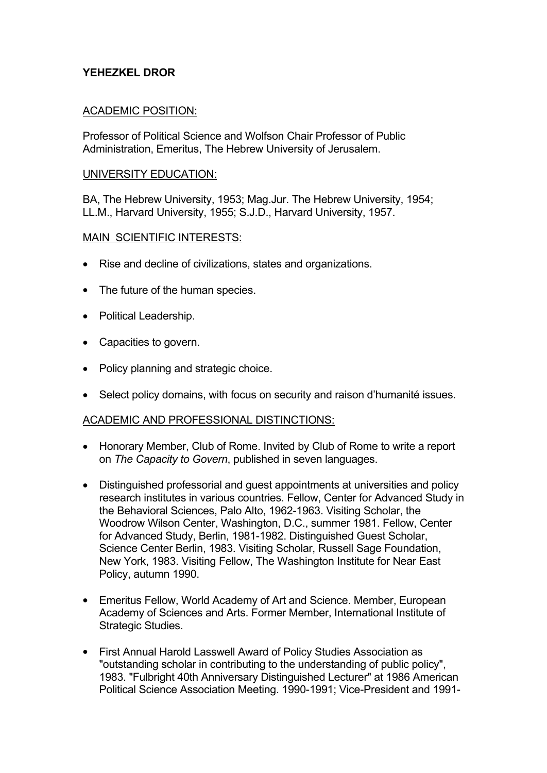# **YEHEZKEL DROR**

## ACADEMIC POSITION:

Professor of Political Science and Wolfson Chair Professor of Public Administration, Emeritus, The Hebrew University of Jerusalem.

#### UNIVERSITY EDUCATION:

BA, The Hebrew University, 1953; Mag.Jur. The Hebrew University, 1954; LL.M., Harvard University, 1955; S.J.D., Harvard University, 1957.

## MAIN SCIENTIFIC INTERESTS:

- Rise and decline of civilizations, states and organizations.
- The future of the human species.
- Political Leadership.
- Capacities to govern.
- Policy planning and strategic choice.
- Select policy domains, with focus on security and raison d'humanité issues.

## ACADEMIC AND PROFESSIONAL DISTINCTIONS:

- Honorary Member, Club of Rome. Invited by Club of Rome to write a report on *The Capacity to Govern*, published in seven languages.
- Distinguished professorial and guest appointments at universities and policy research institutes in various countries. Fellow, Center for Advanced Study in the Behavioral Sciences, Palo Alto, 1962-1963. Visiting Scholar, the Woodrow Wilson Center, Washington, D.C., summer 1981. Fellow, Center for Advanced Study, Berlin, 1981-1982. Distinguished Guest Scholar, Science Center Berlin, 1983. Visiting Scholar, Russell Sage Foundation, New York, 1983. Visiting Fellow, The Washington Institute for Near East Policy, autumn 1990.
- Emeritus Fellow, World Academy of Art and Science. Member, European Academy of Sciences and Arts. Former Member, International Institute of Strategic Studies.
- First Annual Harold Lasswell Award of Policy Studies Association as "outstanding scholar in contributing to the understanding of public policy", 1983. "Fulbright 40th Anniversary Distinguished Lecturer" at 1986 American Political Science Association Meeting. 1990-1991; Vice-President and 1991-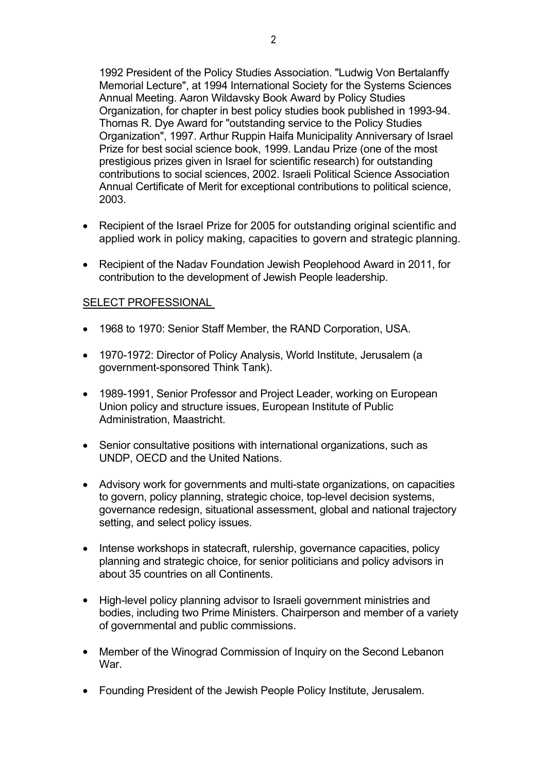1992 President of the Policy Studies Association. "Ludwig Von Bertalanffy Memorial Lecture", at 1994 International Society for the Systems Sciences Annual Meeting. Aaron Wildavsky Book Award by Policy Studies Organization, for chapter in best policy studies book published in 1993-94. Thomas R. Dye Award for "outstanding service to the Policy Studies Organization", 1997. Arthur Ruppin Haifa Municipality Anniversary of Israel Prize for best social science book, 1999. Landau Prize (one of the most prestigious prizes given in Israel for scientific research) for outstanding contributions to social sciences, 2002. Israeli Political Science Association Annual Certificate of Merit for exceptional contributions to political science, 2003.

- Recipient of the Israel Prize for 2005 for outstanding original scientific and applied work in policy making, capacities to govern and strategic planning.
- Recipient of the Nadav Foundation Jewish Peoplehood Award in 2011, for contribution to the development of Jewish People leadership.

## SELECT PROFESSIONAL

- 1968 to 1970: Senior Staff Member, the RAND Corporation, USA.
- 1970-1972: Director of Policy Analysis, World Institute, Jerusalem (a government-sponsored Think Tank).
- 1989-1991, Senior Professor and Project Leader, working on European Union policy and structure issues, European Institute of Public Administration, Maastricht.
- Senior consultative positions with international organizations, such as UNDP, OECD and the United Nations.
- Advisory work for governments and multi-state organizations, on capacities to govern, policy planning, strategic choice, top-level decision systems, governance redesign, situational assessment, global and national trajectory setting, and select policy issues.
- Intense workshops in statecraft, rulership, governance capacities, policy planning and strategic choice, for senior politicians and policy advisors in about 35 countries on all Continents.
- High-level policy planning advisor to Israeli government ministries and bodies, including two Prime Ministers. Chairperson and member of a variety of governmental and public commissions.
- Member of the Winograd Commission of Inquiry on the Second Lebanon War.
- Founding President of the Jewish People Policy Institute, Jerusalem.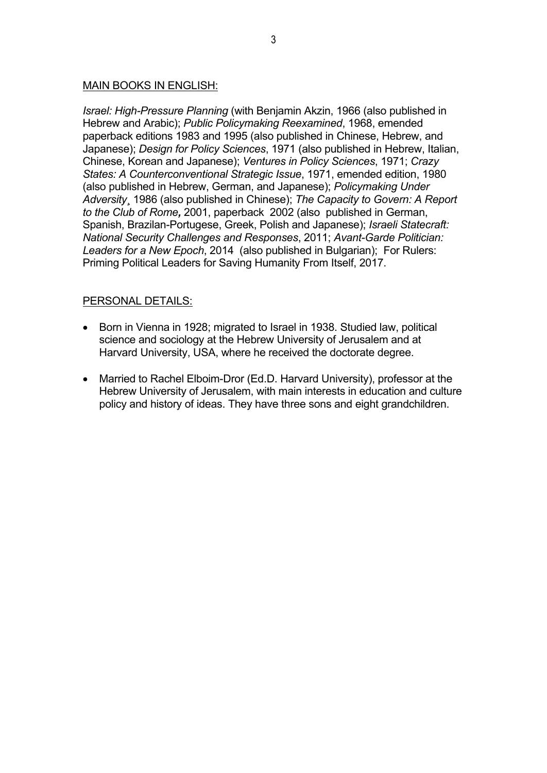### MAIN BOOKS IN ENGLISH:

*Israel: High-Pressure Planning* (with Benjamin Akzin, 1966 (also published in Hebrew and Arabic); *Public Policymaking Reexamined*, 1968, emended paperback editions 1983 and 1995 (also published in Chinese, Hebrew, and Japanese); *Design for Policy Sciences*, 1971 (also published in Hebrew, Italian, Chinese, Korean and Japanese); *Ventures in Policy Sciences*, 1971; *Crazy States: A Counterconventional Strategic Issue*, 1971, emended edition, 1980 (also published in Hebrew, German, and Japanese); *Policymaking Under Adversity*¸ 1986 (also published in Chinese); *The Capacity to Govern: A Report to the Club of Rome,* 2001, paperback 2002 (also published in German, Spanish, Brazilan-Portugese, Greek, Polish and Japanese); *Israeli Statecraft: National Security Challenges and Responses*, 2011; *Avant-Garde Politician: Leaders for a New Epoch*, 2014 (also published in Bulgarian); For Rulers: Priming Political Leaders for Saving Humanity From Itself, 2017.

## PERSONAL DETAILS:

- Born in Vienna in 1928; migrated to Israel in 1938. Studied law, political science and sociology at the Hebrew University of Jerusalem and at Harvard University, USA, where he received the doctorate degree.
- Married to Rachel Elboim-Dror (Ed.D. Harvard University), professor at the Hebrew University of Jerusalem, with main interests in education and culture policy and history of ideas. They have three sons and eight grandchildren.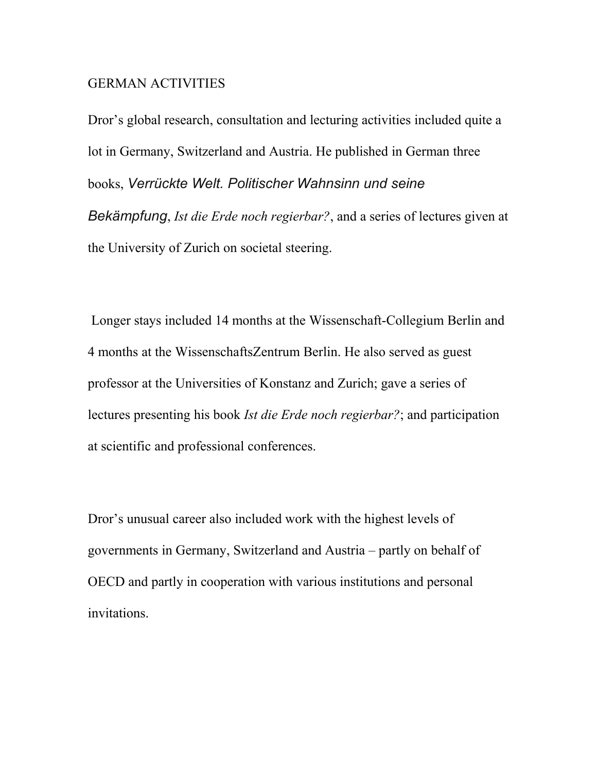## GERMAN ACTIVITIES

Dror's global research, consultation and lecturing activities included quite a lot in Germany, Switzerland and Austria. He published in German three books, *Verrückte Welt. Politischer Wahnsinn und seine Bekämpfung*, *Ist die Erde noch regierbar?*, and a series of lectures given at the University of Zurich on societal steering.

 Longer stays included 14 months at the Wissenschaft-Collegium Berlin and 4 months at the WissenschaftsZentrum Berlin. He also served as guest professor at the Universities of Konstanz and Zurich; gave a series of lectures presenting his book *Ist die Erde noch regierbar?*; and participation at scientific and professional conferences.

Dror's unusual career also included work with the highest levels of governments in Germany, Switzerland and Austria – partly on behalf of OECD and partly in cooperation with various institutions and personal invitations.